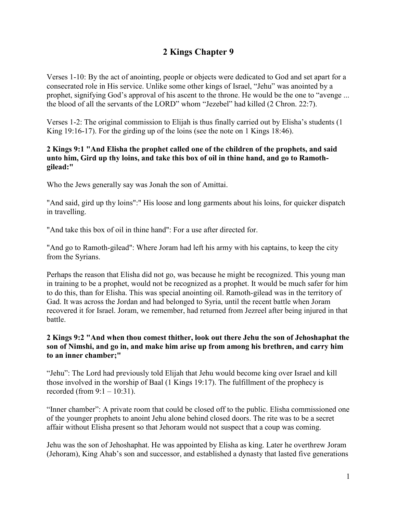# **2 Kings Chapter 9**

Verses 1-10: By the act of anointing, people or objects were dedicated to God and set apart for a consecrated role in His service. Unlike some other kings of Israel, "Jehu" was anointed by a prophet, signifying God's approval of his ascent to the throne. He would be the one to "avenge ... the blood of all the servants of the LORD" whom "Jezebel" had killed (2 Chron. 22:7).

Verses 1-2: The original commission to Elijah is thus finally carried out by Elisha's students (1 King 19:16-17). For the girding up of the loins (see the note on 1 Kings 18:46).

#### **2 Kings 9:1 "And Elisha the prophet called one of the children of the prophets, and said unto him, Gird up thy loins, and take this box of oil in thine hand, and go to Ramothgilead:"**

Who the Jews generally say was Jonah the son of Amittai.

"And said, gird up thy loins":" His loose and long garments about his loins, for quicker dispatch in travelling.

"And take this box of oil in thine hand": For a use after directed for.

"And go to Ramoth-gilead": Where Joram had left his army with his captains, to keep the city from the Syrians.

Perhaps the reason that Elisha did not go, was because he might be recognized. This young man in training to be a prophet, would not be recognized as a prophet. It would be much safer for him to do this, than for Elisha. This was special anointing oil. Ramoth-gilead was in the territory of Gad. It was across the Jordan and had belonged to Syria, until the recent battle when Joram recovered it for Israel. Joram, we remember, had returned from Jezreel after being injured in that battle.

## **2 Kings 9:2 "And when thou comest thither, look out there Jehu the son of Jehoshaphat the son of Nimshi, and go in, and make him arise up from among his brethren, and carry him to an inner chamber;"**

"Jehu": The Lord had previously told Elijah that Jehu would become king over Israel and kill those involved in the worship of Baal (1 Kings 19:17). The fulfillment of the prophecy is recorded (from  $9:1 - 10:31$ ).

"Inner chamber": A private room that could be closed off to the public. Elisha commissioned one of the younger prophets to anoint Jehu alone behind closed doors. The rite was to be a secret affair without Elisha present so that Jehoram would not suspect that a coup was coming.

Jehu was the son of Jehoshaphat. He was appointed by Elisha as king. Later he overthrew Joram (Jehoram), King Ahab's son and successor, and established a dynasty that lasted five generations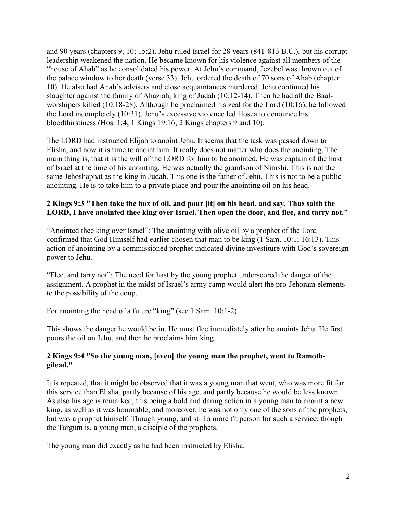and 90 years (chapters 9, 10; 15:2). Jehu ruled Israel for 28 years (841-813 B.C.), but his corrupt leadership weakened the nation. He became known for his violence against all members of the "house of Ahab" as he consolidated his power. At Jehu's command, Jezebel was thrown out of the palace window to her death (verse 33). Jehu ordered the death of 70 sons of Ahab (chapter 10). He also had Ahab's advisers and close acquaintances murdered. Jehu continued his slaughter against the family of Ahaziah, king of Judah (10:12-14). Then he had all the Baalworshipers killed (10:18-28). Although he proclaimed his zeal for the Lord (10:16), he followed the Lord incompletely (10:31). Jehu's excessive violence led Hosea to denounce his bloodthirstiness (Hos. 1:4; 1 Kings 19:16; 2 Kings chapters 9 and 10).

The LORD had instructed Elijah to anoint Jehu. It seems that the task was passed down to Elisha, and now it is time to anoint him. It really does not matter who does the anointing. The main thing is, that it is the will of the LORD for him to be anointed. He was captain of the host of Israel at the time of his anointing. He was actually the grandson of Nimshi. This is not the same Jehoshaphat as the king in Judah. This one is the father of Jehu. This is not to be a public anointing. He is to take him to a private place and pour the anointing oil on his head.

## **2 Kings 9:3 "Then take the box of oil, and pour [it] on his head, and say, Thus saith the LORD, I have anointed thee king over Israel. Then open the door, and flee, and tarry not."**

"Anointed thee king over Israel": The anointing with olive oil by a prophet of the Lord confirmed that God Himself had earlier chosen that man to be king (1 Sam. 10:1; 16:13). This action of anointing by a commissioned prophet indicated divine investiture with God's sovereign power to Jehu.

"Flee, and tarry not": The need for hast by the young prophet underscored the danger of the assignment. A prophet in the midst of Israel's army camp would alert the pro-Jehoram elements to the possibility of the coup.

For anointing the head of a future "king" (see 1 Sam. 10:1-2).

This shows the danger he would be in. He must flee immediately after he anoints Jehu. He first pours the oil on Jehu, and then he proclaims him king.

## **2 Kings 9:4 "So the young man, [even] the young man the prophet, went to Ramothgilead."**

It is repeated, that it might be observed that it was a young man that went, who was more fit for this service than Elisha, partly because of his age, and partly because he would be less known. As also his age is remarked, this being a bold and daring action in a young man to anoint a new king, as well as it was honorable; and moreover, he was not only one of the sons of the prophets, but was a prophet himself. Though young, and still a more fit person for such a service; though the Targum is, a young man, a disciple of the prophets.

The young man did exactly as he had been instructed by Elisha.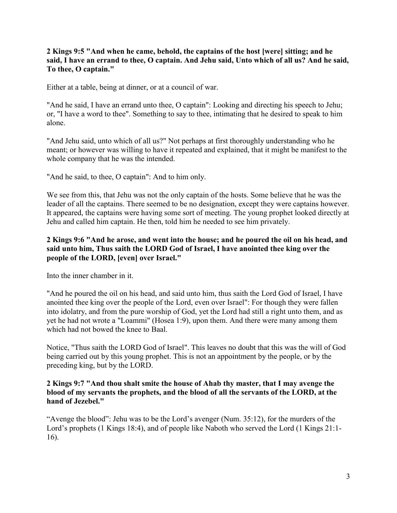## **2 Kings 9:5 "And when he came, behold, the captains of the host [were] sitting; and he said, I have an errand to thee, O captain. And Jehu said, Unto which of all us? And he said, To thee, O captain."**

Either at a table, being at dinner, or at a council of war.

"And he said, I have an errand unto thee, O captain": Looking and directing his speech to Jehu; or, "I have a word to thee". Something to say to thee, intimating that he desired to speak to him alone.

"And Jehu said, unto which of all us?" Not perhaps at first thoroughly understanding who he meant; or however was willing to have it repeated and explained, that it might be manifest to the whole company that he was the intended.

"And he said, to thee, O captain": And to him only.

We see from this, that Jehu was not the only captain of the hosts. Some believe that he was the leader of all the captains. There seemed to be no designation, except they were captains however. It appeared, the captains were having some sort of meeting. The young prophet looked directly at Jehu and called him captain. He then, told him he needed to see him privately.

## **2 Kings 9:6 "And he arose, and went into the house; and he poured the oil on his head, and said unto him, Thus saith the LORD God of Israel, I have anointed thee king over the people of the LORD, [even] over Israel."**

Into the inner chamber in it.

"And he poured the oil on his head, and said unto him, thus saith the Lord God of Israel, I have anointed thee king over the people of the Lord, even over Israel": For though they were fallen into idolatry, and from the pure worship of God, yet the Lord had still a right unto them, and as yet he had not wrote a "Loammi" (Hosea 1:9), upon them. And there were many among them which had not bowed the knee to Baal.

Notice, "Thus saith the LORD God of Israel". This leaves no doubt that this was the will of God being carried out by this young prophet. This is not an appointment by the people, or by the preceding king, but by the LORD.

#### **2 Kings 9:7 "And thou shalt smite the house of Ahab thy master, that I may avenge the blood of my servants the prophets, and the blood of all the servants of the LORD, at the hand of Jezebel."**

"Avenge the blood": Jehu was to be the Lord's avenger (Num. 35:12), for the murders of the Lord's prophets (1 Kings 18:4), and of people like Naboth who served the Lord (1 Kings 21:1-16).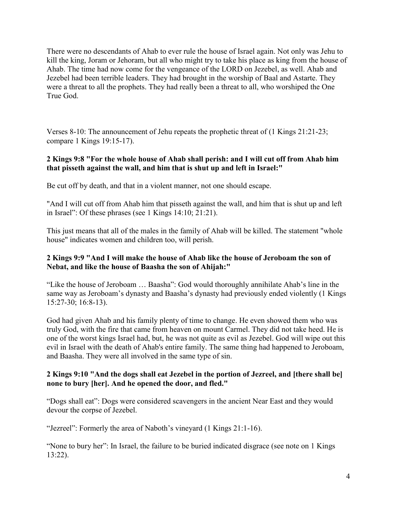There were no descendants of Ahab to ever rule the house of Israel again. Not only was Jehu to kill the king, Joram or Jehoram, but all who might try to take his place as king from the house of Ahab. The time had now come for the vengeance of the LORD on Jezebel, as well. Ahab and Jezebel had been terrible leaders. They had brought in the worship of Baal and Astarte. They were a threat to all the prophets. They had really been a threat to all, who worshiped the One True God.

Verses 8-10: The announcement of Jehu repeats the prophetic threat of (1 Kings 21:21-23; compare 1 Kings 19:15-17).

#### **2 Kings 9:8 "For the whole house of Ahab shall perish: and I will cut off from Ahab him that pisseth against the wall, and him that is shut up and left in Israel:"**

Be cut off by death, and that in a violent manner, not one should escape.

"And I will cut off from Ahab him that pisseth against the wall, and him that is shut up and left in Israel": Of these phrases (see 1 Kings 14:10; 21:21).

This just means that all of the males in the family of Ahab will be killed. The statement "whole house" indicates women and children too, will perish.

## **2 Kings 9:9 "And I will make the house of Ahab like the house of Jeroboam the son of Nebat, and like the house of Baasha the son of Ahijah:"**

"Like the house of Jeroboam … Baasha": God would thoroughly annihilate Ahab's line in the same way as Jeroboam's dynasty and Baasha's dynasty had previously ended violently (1 Kings 15:27-30; 16:8-13).

God had given Ahab and his family plenty of time to change. He even showed them who was truly God, with the fire that came from heaven on mount Carmel. They did not take heed. He is one of the worst kings Israel had, but, he was not quite as evil as Jezebel. God will wipe out this evil in Israel with the death of Ahab's entire family. The same thing had happened to Jeroboam, and Baasha. They were all involved in the same type of sin.

#### **2 Kings 9:10 "And the dogs shall eat Jezebel in the portion of Jezreel, and [there shall be] none to bury [her]. And he opened the door, and fled."**

"Dogs shall eat": Dogs were considered scavengers in the ancient Near East and they would devour the corpse of Jezebel.

"Jezreel": Formerly the area of Naboth's vineyard (1 Kings 21:1-16).

"None to bury her": In Israel, the failure to be buried indicated disgrace (see note on 1 Kings 13:22).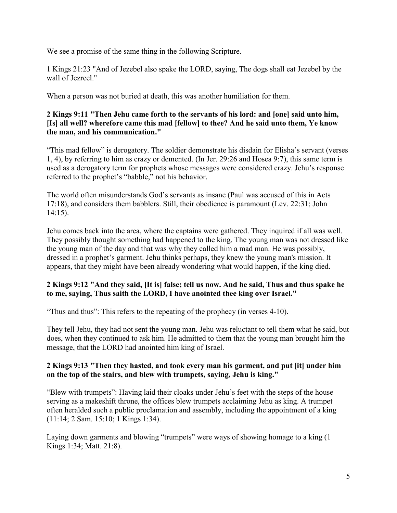We see a promise of the same thing in the following Scripture.

1 Kings 21:23 "And of Jezebel also spake the LORD, saying, The dogs shall eat Jezebel by the wall of Jezreel."

When a person was not buried at death, this was another humiliation for them.

#### **2 Kings 9:11 "Then Jehu came forth to the servants of his lord: and [one] said unto him, [Is] all well? wherefore came this mad [fellow] to thee? And he said unto them, Ye know the man, and his communication."**

"This mad fellow" is derogatory. The soldier demonstrate his disdain for Elisha's servant (verses 1, 4), by referring to him as crazy or demented. (In Jer. 29:26 and Hosea 9:7), this same term is used as a derogatory term for prophets whose messages were considered crazy. Jehu's response referred to the prophet's "babble," not his behavior.

The world often misunderstands God's servants as insane (Paul was accused of this in Acts 17:18), and considers them babblers. Still, their obedience is paramount (Lev. 22:31; John 14:15).

Jehu comes back into the area, where the captains were gathered. They inquired if all was well. They possibly thought something had happened to the king. The young man was not dressed like the young man of the day and that was why they called him a mad man. He was possibly, dressed in a prophet's garment. Jehu thinks perhaps, they knew the young man's mission. It appears, that they might have been already wondering what would happen, if the king died.

# **2 Kings 9:12 "And they said, [It is] false; tell us now. And he said, Thus and thus spake he to me, saying, Thus saith the LORD, I have anointed thee king over Israel."**

"Thus and thus": This refers to the repeating of the prophecy (in verses 4-10).

They tell Jehu, they had not sent the young man. Jehu was reluctant to tell them what he said, but does, when they continued to ask him. He admitted to them that the young man brought him the message, that the LORD had anointed him king of Israel.

## **2 Kings 9:13 "Then they hasted, and took every man his garment, and put [it] under him on the top of the stairs, and blew with trumpets, saying, Jehu is king."**

"Blew with trumpets": Having laid their cloaks under Jehu's feet with the steps of the house serving as a makeshift throne, the offices blew trumpets acclaiming Jehu as king. A trumpet often heralded such a public proclamation and assembly, including the appointment of a king (11:14; 2 Sam. 15:10; 1 Kings 1:34).

Laying down garments and blowing "trumpets" were ways of showing homage to a king (1 Kings 1:34; Matt. 21:8).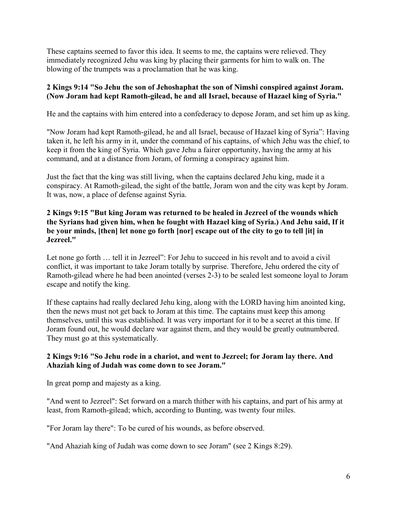These captains seemed to favor this idea. It seems to me, the captains were relieved. They immediately recognized Jehu was king by placing their garments for him to walk on. The blowing of the trumpets was a proclamation that he was king.

#### **2 Kings 9:14 "So Jehu the son of Jehoshaphat the son of Nimshi conspired against Joram. (Now Joram had kept Ramoth-gilead, he and all Israel, because of Hazael king of Syria."**

He and the captains with him entered into a confederacy to depose Joram, and set him up as king.

"Now Joram had kept Ramoth-gilead, he and all Israel, because of Hazael king of Syria": Having taken it, he left his army in it, under the command of his captains, of which Jehu was the chief, to keep it from the king of Syria. Which gave Jehu a fairer opportunity, having the army at his command, and at a distance from Joram, of forming a conspiracy against him.

Just the fact that the king was still living, when the captains declared Jehu king, made it a conspiracy. At Ramoth-gilead, the sight of the battle, Joram won and the city was kept by Joram. It was, now, a place of defense against Syria.

## **2 Kings 9:15 "But king Joram was returned to be healed in Jezreel of the wounds which the Syrians had given him, when he fought with Hazael king of Syria.) And Jehu said, If it be your minds, [then] let none go forth [nor] escape out of the city to go to tell [it] in Jezreel."**

Let none go forth ... tell it in Jezreel": For Jehu to succeed in his revolt and to avoid a civil conflict, it was important to take Joram totally by surprise. Therefore, Jehu ordered the city of Ramoth-gilead where he had been anointed (verses 2-3) to be sealed lest someone loyal to Joram escape and notify the king.

If these captains had really declared Jehu king, along with the LORD having him anointed king, then the news must not get back to Joram at this time. The captains must keep this among themselves, until this was established. It was very important for it to be a secret at this time. If Joram found out, he would declare war against them, and they would be greatly outnumbered. They must go at this systematically.

#### **2 Kings 9:16 "So Jehu rode in a chariot, and went to Jezreel; for Joram lay there. And Ahaziah king of Judah was come down to see Joram."**

In great pomp and majesty as a king.

"And went to Jezreel": Set forward on a march thither with his captains, and part of his army at least, from Ramoth-gilead; which, according to Bunting, was twenty four miles.

"For Joram lay there": To be cured of his wounds, as before observed.

"And Ahaziah king of Judah was come down to see Joram" (see 2 Kings 8:29).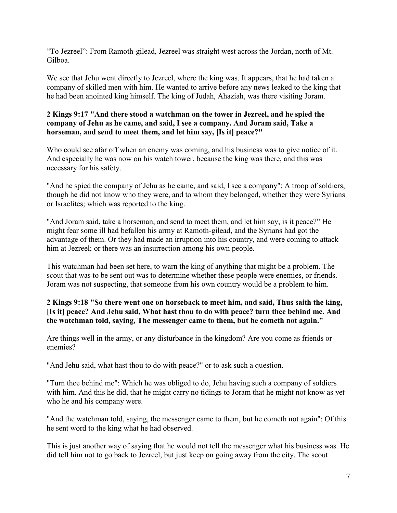"To Jezreel": From Ramoth-gilead, Jezreel was straight west across the Jordan, north of Mt. Gilboa.

We see that Jehu went directly to Jezreel, where the king was. It appears, that he had taken a company of skilled men with him. He wanted to arrive before any news leaked to the king that he had been anointed king himself. The king of Judah, Ahaziah, was there visiting Joram.

## **2 Kings 9:17 "And there stood a watchman on the tower in Jezreel, and he spied the company of Jehu as he came, and said, I see a company. And Joram said, Take a horseman, and send to meet them, and let him say, [Is it] peace?"**

Who could see afar off when an enemy was coming, and his business was to give notice of it. And especially he was now on his watch tower, because the king was there, and this was necessary for his safety.

"And he spied the company of Jehu as he came, and said, I see a company": A troop of soldiers, though he did not know who they were, and to whom they belonged, whether they were Syrians or Israelites; which was reported to the king.

"And Joram said, take a horseman, and send to meet them, and let him say, is it peace?" He might fear some ill had befallen his army at Ramoth-gilead, and the Syrians had got the advantage of them. Or they had made an irruption into his country, and were coming to attack him at Jezreel; or there was an insurrection among his own people.

This watchman had been set here, to warn the king of anything that might be a problem. The scout that was to be sent out was to determine whether these people were enemies, or friends. Joram was not suspecting, that someone from his own country would be a problem to him.

## **2 Kings 9:18 "So there went one on horseback to meet him, and said, Thus saith the king, [Is it] peace? And Jehu said, What hast thou to do with peace? turn thee behind me. And the watchman told, saying, The messenger came to them, but he cometh not again."**

Are things well in the army, or any disturbance in the kingdom? Are you come as friends or enemies?

"And Jehu said, what hast thou to do with peace?" or to ask such a question.

"Turn thee behind me": Which he was obliged to do, Jehu having such a company of soldiers with him. And this he did, that he might carry no tidings to Joram that he might not know as yet who he and his company were.

"And the watchman told, saying, the messenger came to them, but he cometh not again": Of this he sent word to the king what he had observed.

This is just another way of saying that he would not tell the messenger what his business was. He did tell him not to go back to Jezreel, but just keep on going away from the city. The scout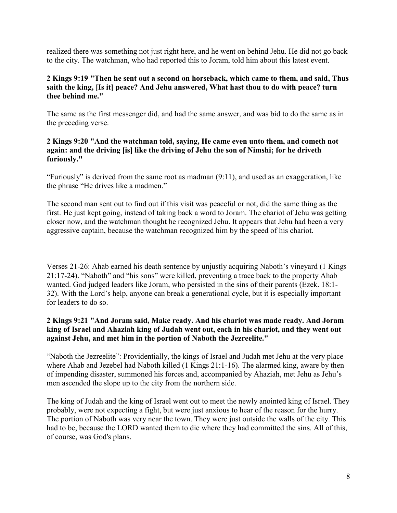realized there was something not just right here, and he went on behind Jehu. He did not go back to the city. The watchman, who had reported this to Joram, told him about this latest event.

## **2 Kings 9:19 "Then he sent out a second on horseback, which came to them, and said, Thus saith the king, [Is it] peace? And Jehu answered, What hast thou to do with peace? turn thee behind me."**

The same as the first messenger did, and had the same answer, and was bid to do the same as in the preceding verse.

## **2 Kings 9:20 "And the watchman told, saying, He came even unto them, and cometh not again: and the driving [is] like the driving of Jehu the son of Nimshi; for he driveth furiously."**

"Furiously" is derived from the same root as madman (9:11), and used as an exaggeration, like the phrase "He drives like a madmen."

The second man sent out to find out if this visit was peaceful or not, did the same thing as the first. He just kept going, instead of taking back a word to Joram. The chariot of Jehu was getting closer now, and the watchman thought he recognized Jehu. It appears that Jehu had been a very aggressive captain, because the watchman recognized him by the speed of his chariot.

Verses 21-26: Ahab earned his death sentence by unjustly acquiring Naboth's vineyard (1 Kings 21:17-24). "Naboth" and "his sons" were killed, preventing a trace back to the property Ahab wanted. God judged leaders like Joram, who persisted in the sins of their parents (Ezek. 18:1- 32). With the Lord's help, anyone can break a generational cycle, but it is especially important for leaders to do so.

## **2 Kings 9:21 "And Joram said, Make ready. And his chariot was made ready. And Joram king of Israel and Ahaziah king of Judah went out, each in his chariot, and they went out against Jehu, and met him in the portion of Naboth the Jezreelite."**

"Naboth the Jezreelite": Providentially, the kings of Israel and Judah met Jehu at the very place where Ahab and Jezebel had Naboth killed (1 Kings 21:1-16). The alarmed king, aware by then of impending disaster, summoned his forces and, accompanied by Ahaziah, met Jehu as Jehu's men ascended the slope up to the city from the northern side.

The king of Judah and the king of Israel went out to meet the newly anointed king of Israel. They probably, were not expecting a fight, but were just anxious to hear of the reason for the hurry. The portion of Naboth was very near the town. They were just outside the walls of the city. This had to be, because the LORD wanted them to die where they had committed the sins. All of this, of course, was God's plans.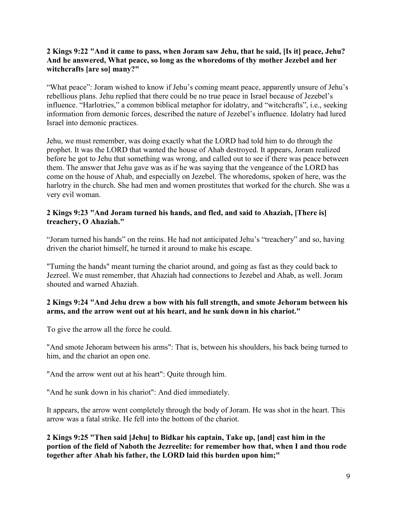## **2 Kings 9:22 "And it came to pass, when Joram saw Jehu, that he said, [Is it] peace, Jehu? And he answered, What peace, so long as the whoredoms of thy mother Jezebel and her witchcrafts [are so] many?"**

"What peace": Joram wished to know if Jehu's coming meant peace, apparently unsure of Jehu's rebellious plans. Jehu replied that there could be no true peace in Israel because of Jezebel's influence. "Harlotries," a common biblical metaphor for idolatry, and "witchcrafts", i.e., seeking information from demonic forces, described the nature of Jezebel's influence. Idolatry had lured Israel into demonic practices.

Jehu, we must remember, was doing exactly what the LORD had told him to do through the prophet. It was the LORD that wanted the house of Ahab destroyed. It appears, Joram realized before he got to Jehu that something was wrong, and called out to see if there was peace between them. The answer that Jehu gave was as if he was saying that the vengeance of the LORD has come on the house of Ahab, and especially on Jezebel. The whoredoms, spoken of here, was the harlotry in the church. She had men and women prostitutes that worked for the church. She was a very evil woman.

#### **2 Kings 9:23 "And Joram turned his hands, and fled, and said to Ahaziah, [There is] treachery, O Ahaziah."**

"Joram turned his hands" on the reins. He had not anticipated Jehu's "treachery" and so, having driven the chariot himself, he turned it around to make his escape.

"Turning the hands" meant turning the chariot around, and going as fast as they could back to Jezreel. We must remember, that Ahaziah had connections to Jezebel and Ahab, as well. Joram shouted and warned Ahaziah.

## **2 Kings 9:24 "And Jehu drew a bow with his full strength, and smote Jehoram between his arms, and the arrow went out at his heart, and he sunk down in his chariot."**

To give the arrow all the force he could.

"And smote Jehoram between his arms": That is, between his shoulders, his back being turned to him, and the chariot an open one.

"And the arrow went out at his heart": Quite through him.

"And he sunk down in his chariot": And died immediately.

It appears, the arrow went completely through the body of Joram. He was shot in the heart. This arrow was a fatal strike. He fell into the bottom of the chariot.

**2 Kings 9:25 "Then said [Jehu] to Bidkar his captain, Take up, [and] cast him in the portion of the field of Naboth the Jezreelite: for remember how that, when I and thou rode together after Ahab his father, the LORD laid this burden upon him;"**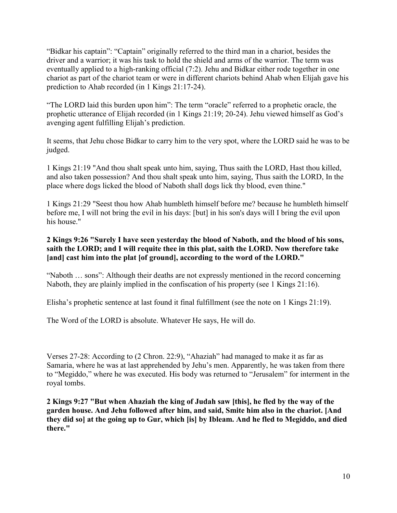"Bidkar his captain": "Captain" originally referred to the third man in a chariot, besides the driver and a warrior; it was his task to hold the shield and arms of the warrior. The term was eventually applied to a high-ranking official (7:2). Jehu and Bidkar either rode together in one chariot as part of the chariot team or were in different chariots behind Ahab when Elijah gave his prediction to Ahab recorded (in 1 Kings 21:17-24).

"The LORD laid this burden upon him": The term "oracle" referred to a prophetic oracle, the prophetic utterance of Elijah recorded (in 1 Kings 21:19; 20-24). Jehu viewed himself as God's avenging agent fulfilling Elijah's prediction.

It seems, that Jehu chose Bidkar to carry him to the very spot, where the LORD said he was to be judged.

1 Kings 21:19 "And thou shalt speak unto him, saying, Thus saith the LORD, Hast thou killed, and also taken possession? And thou shalt speak unto him, saying, Thus saith the LORD, In the place where dogs licked the blood of Naboth shall dogs lick thy blood, even thine."

1 Kings 21:29 "Seest thou how Ahab humbleth himself before me? because he humbleth himself before me, I will not bring the evil in his days: [but] in his son's days will I bring the evil upon his house."

## **2 Kings 9:26 "Surely I have seen yesterday the blood of Naboth, and the blood of his sons, saith the LORD; and I will requite thee in this plat, saith the LORD. Now therefore take [and] cast him into the plat [of ground], according to the word of the LORD."**

"Naboth … sons": Although their deaths are not expressly mentioned in the record concerning Naboth, they are plainly implied in the confiscation of his property (see 1 Kings 21:16).

Elisha's prophetic sentence at last found it final fulfillment (see the note on 1 Kings 21:19).

The Word of the LORD is absolute. Whatever He says, He will do.

Verses 27-28: According to (2 Chron. 22:9), "Ahaziah" had managed to make it as far as Samaria, where he was at last apprehended by Jehu's men. Apparently, he was taken from there to "Megiddo," where he was executed. His body was returned to "Jerusalem" for interment in the royal tombs.

**2 Kings 9:27 "But when Ahaziah the king of Judah saw [this], he fled by the way of the garden house. And Jehu followed after him, and said, Smite him also in the chariot. [And they did so] at the going up to Gur, which [is] by Ibleam. And he fled to Megiddo, and died there."**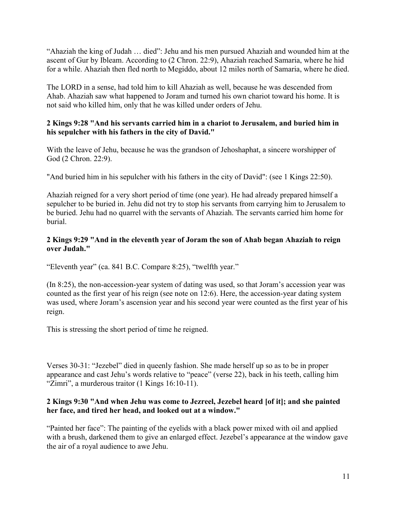"Ahaziah the king of Judah … died": Jehu and his men pursued Ahaziah and wounded him at the ascent of Gur by Ibleam. According to (2 Chron. 22:9), Ahaziah reached Samaria, where he hid for a while. Ahaziah then fled north to Megiddo, about 12 miles north of Samaria, where he died.

The LORD in a sense, had told him to kill Ahaziah as well, because he was descended from Ahab. Ahaziah saw what happened to Joram and turned his own chariot toward his home. It is not said who killed him, only that he was killed under orders of Jehu.

## **2 Kings 9:28 "And his servants carried him in a chariot to Jerusalem, and buried him in his sepulcher with his fathers in the city of David."**

With the leave of Jehu, because he was the grandson of Jehoshaphat, a sincere worshipper of God (2 Chron. 22:9).

"And buried him in his sepulcher with his fathers in the city of David": (see 1 Kings 22:50).

Ahaziah reigned for a very short period of time (one year). He had already prepared himself a sepulcher to be buried in. Jehu did not try to stop his servants from carrying him to Jerusalem to be buried. Jehu had no quarrel with the servants of Ahaziah. The servants carried him home for burial.

# **2 Kings 9:29 "And in the eleventh year of Joram the son of Ahab began Ahaziah to reign over Judah."**

"Eleventh year" (ca. 841 B.C. Compare 8:25), "twelfth year."

(In 8:25), the non-accession-year system of dating was used, so that Joram's accession year was counted as the first year of his reign (see note on 12:6). Here, the accession-year dating system was used, where Joram's ascension year and his second year were counted as the first year of his reign.

This is stressing the short period of time he reigned.

Verses 30-31: "Jezebel" died in queenly fashion. She made herself up so as to be in proper appearance and cast Jehu's words relative to "peace" (verse 22), back in his teeth, calling him "Zimri", a murderous traitor (1 Kings 16:10-11).

## **2 Kings 9:30 "And when Jehu was come to Jezreel, Jezebel heard [of it]; and she painted her face, and tired her head, and looked out at a window."**

"Painted her face": The painting of the eyelids with a black power mixed with oil and applied with a brush, darkened them to give an enlarged effect. Jezebel's appearance at the window gave the air of a royal audience to awe Jehu.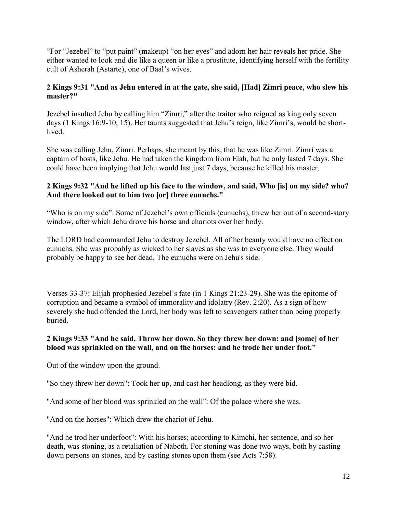"For "Jezebel" to "put paint" (makeup) "on her eyes" and adorn her hair reveals her pride. She either wanted to look and die like a queen or like a prostitute, identifying herself with the fertility cult of Asherah (Astarte), one of Baal's wives.

# **2 Kings 9:31 "And as Jehu entered in at the gate, she said, [Had] Zimri peace, who slew his master?"**

Jezebel insulted Jehu by calling him "Zimri," after the traitor who reigned as king only seven days (1 Kings 16:9-10, 15). Her taunts suggested that Jehu's reign, like Zimri's, would be shortlived.

She was calling Jehu, Zimri. Perhaps, she meant by this, that he was like Zimri. Zimri was a captain of hosts, like Jehu. He had taken the kingdom from Elah, but he only lasted 7 days. She could have been implying that Jehu would last just 7 days, because he killed his master.

## **2 Kings 9:32 "And he lifted up his face to the window, and said, Who [is] on my side? who? And there looked out to him two [or] three eunuchs."**

"Who is on my side": Some of Jezebel's own officials (eunuchs), threw her out of a second-story window, after which Jehu drove his horse and chariots over her body.

The LORD had commanded Jehu to destroy Jezebel. All of her beauty would have no effect on eunuchs. She was probably as wicked to her slaves as she was to everyone else. They would probably be happy to see her dead. The eunuchs were on Jehu's side.

Verses 33-37: Elijah prophesied Jezebel's fate (in 1 Kings 21:23-29). She was the epitome of corruption and became a symbol of immorality and idolatry (Rev. 2:20). As a sign of how severely she had offended the Lord, her body was left to scavengers rather than being properly buried.

## **2 Kings 9:33 "And he said, Throw her down. So they threw her down: and [some] of her blood was sprinkled on the wall, and on the horses: and he trode her under foot."**

Out of the window upon the ground.

"So they threw her down": Took her up, and cast her headlong, as they were bid.

"And some of her blood was sprinkled on the wall": Of the palace where she was.

"And on the horses": Which drew the chariot of Jehu.

"And he trod her underfoot": With his horses; according to Kimchi, her sentence, and so her death, was stoning, as a retaliation of Naboth. For stoning was done two ways, both by casting down persons on stones, and by casting stones upon them (see Acts 7:58).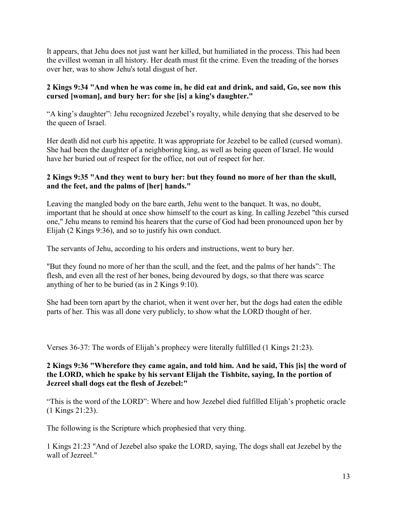It appears, that Jehu does not just want her killed, but humiliated in the process. This had been the evillest woman in all history. Her death must fit the crime. Even the treading of the horses over her, was to show Jehu's total disgust of her.

# **2 Kings 9:34 "And when he was come in, he did eat and drink, and said, Go, see now this cursed [woman], and bury her: for she [is] a king's daughter."**

"A king's daughter": Jehu recognized Jezebel's royalty, while denying that she deserved to be the queen of Israel.

Her death did not curb his appetite. It was appropriate for Jezebel to be called (cursed woman). She had been the daughter of a neighboring king, as well as being queen of Israel. He would have her buried out of respect for the office, not out of respect for her.

# **2 Kings 9:35 "And they went to bury her: but they found no more of her than the skull, and the feet, and the palms of [her] hands."**

Leaving the mangled body on the bare earth, Jehu went to the banquet. It was, no doubt, important that he should at once show himself to the court as king. In calling Jezebel "this cursed one," Jehu means to remind his hearers that the curse of God had been pronounced upon her by Elijah (2 Kings 9:36), and so to justify his own conduct.

The servants of Jehu, according to his orders and instructions, went to bury her.

"But they found no more of her than the scull, and the feet, and the palms of her hands": The flesh, and even all the rest of her bones, being devoured by dogs, so that there was scarce anything of her to be buried (as in 2 Kings 9:10).

She had been torn apart by the chariot, when it went over her, but the dogs had eaten the edible parts of her. This was all done very publicly, to show what the LORD thought of her.

Verses 36-37: The words of Elijah's prophecy were literally fulfilled (1 Kings 21:23).

# **2 Kings 9:36 "Wherefore they came again, and told him. And he said, This [is] the word of the LORD, which he spake by his servant Elijah the Tishbite, saying, In the portion of Jezreel shall dogs eat the flesh of Jezebel:"**

"This is the word of the LORD": Where and how Jezebel died fulfilled Elijah's prophetic oracle (1 Kings 21:23).

The following is the Scripture which prophesied that very thing.

1 Kings 21:23 "And of Jezebel also spake the LORD, saying, The dogs shall eat Jezebel by the wall of Jezreel."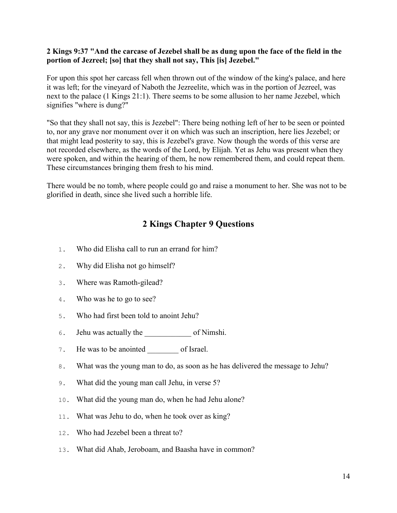#### **2 Kings 9:37 "And the carcase of Jezebel shall be as dung upon the face of the field in the portion of Jezreel; [so] that they shall not say, This [is] Jezebel."**

For upon this spot her carcass fell when thrown out of the window of the king's palace, and here it was left; for the vineyard of Naboth the Jezreelite, which was in the portion of Jezreel, was next to the palace (1 Kings 21:1). There seems to be some allusion to her name Jezebel, which signifies "where is dung?"

"So that they shall not say, this is Jezebel": There being nothing left of her to be seen or pointed to, nor any grave nor monument over it on which was such an inscription, here lies Jezebel; or that might lead posterity to say, this is Jezebel's grave. Now though the words of this verse are not recorded elsewhere, as the words of the Lord, by Elijah. Yet as Jehu was present when they were spoken, and within the hearing of them, he now remembered them, and could repeat them. These circumstances bringing them fresh to his mind.

There would be no tomb, where people could go and raise a monument to her. She was not to be glorified in death, since she lived such a horrible life.

# **2 Kings Chapter 9 Questions**

- 1. Who did Elisha call to run an errand for him?
- 2. Why did Elisha not go himself?
- 3. Where was Ramoth-gilead?
- 4. Who was he to go to see?
- 5. Who had first been told to anoint Jehu?
- 6. Jehu was actually the of Nimshi.
- 7. He was to be anointed of Israel.
- 8. What was the young man to do, as soon as he has delivered the message to Jehu?
- 9. What did the young man call Jehu, in verse 5?
- 10. What did the young man do, when he had Jehu alone?
- 11. What was Jehu to do, when he took over as king?
- 12. Who had Jezebel been a threat to?
- 13. What did Ahab, Jeroboam, and Baasha have in common?